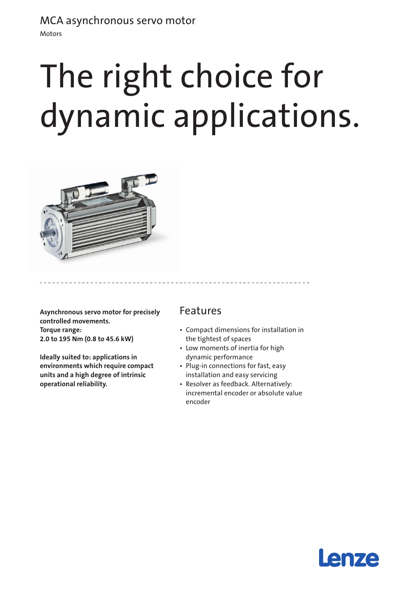# MCA asynchronous servo motor

Motors

# The right choice for dynamic applications.



**Asynchronous servo motor for precisely controlled movements. Torque range: 2.0 to 195 Nm (0.8 to 45.6 kW)** 

**Ideally suited to: applications in environments which require compact units and a high degree of intrinsic operational reliability.**

### Features

- • Compact dimensions for installation in the tightest of spaces
- Low moments of inertia for high dynamic performance
- Plug-in connections for fast, easy installation and easy servicing
- • Resolver as feedback. Alternatively: incremental encoder or absolute value encoder